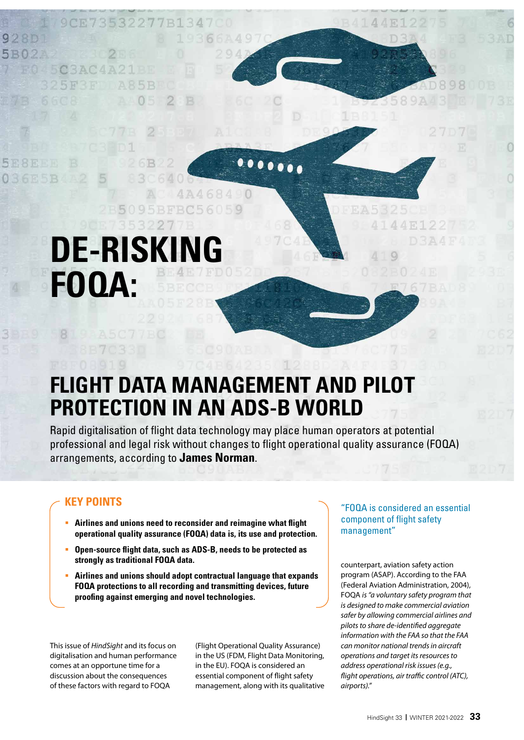# **DE-RISKII FOQA:**

3227

## **FLIGHT DATA MANAGEMENT AND PILOT PROTECTION IN AN ADS-B WORLD**

4684

Rapid digitalisation of flight data technology may place human operators at potential professional and legal risk without changes to flight operational quality assurance (FOQA) arrangements, according to **James Norman**.

### **KEY POINTS**

- **Airlines and unions need to reconsider and reimagine what flight operational quality assurance (FOQA) data is, its use and protection.**
- **Open-source flight data, such as ADS-B, needs to be protected as strongly as traditional FOQA data.**
- **Airlines and unions should adopt contractual language that expands FOQA protections to all recording and transmitting devices, future proofing against emerging and novel technologies.**

This issue of *HindSight* and its focus on digitalisation and human performance comes at an opportune time for a discussion about the consequences of these factors with regard to FOQA

(Flight Operational Quality Assurance) in the US (FDM, Flight Data Monitoring, in the EU). FOQA is considered an essential component of flight safety management, along with its qualitative

#### "FOQA is considered an essential component of flight safety management"

counterpart, aviation safety action program (ASAP). According to the FAA (Federal Aviation Administration, 2004), FOQA *is "a voluntary safety program that is designed to make commercial aviation safer by allowing commercial airlines and pilots to share de-identified aggregate information with the FAA so that the FAA can monitor national trends in aircraft operations and target its resources to address operational risk issues (e.g., flight operations, air tra*ffi*c control (ATC), airports)."*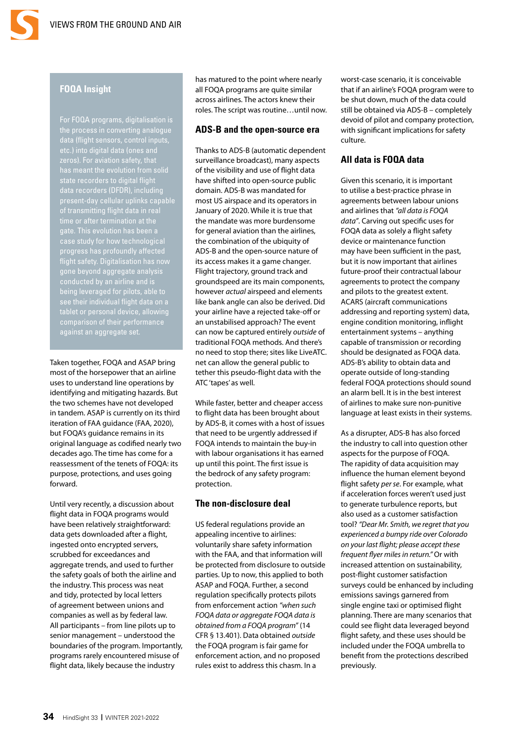#### **FOQA Insight**

For FOQA programs, digitalisation is the process in converting analogue data (flight sensors, control inputs, etc.) into digital data (ones and zeros). For aviation safety, that has meant the evolution from solid state recorders to digital flight data recorders (DFDR), including of transmitting flight data in real time or after termination at the gate. This evolution has been a case study for how technological progress has profoundly affected flight safety. Digitalisation has now see their individual flight data on a against an aggregate set.

Taken together, FOQA and ASAP bring most of the horsepower that an airline uses to understand line operations by identifying and mitigating hazards. But the two schemes have not developed in tandem. ASAP is currently on its third iteration of FAA guidance (FAA, 2020), but FOQA's guidance remains in its original language as codified nearly two decades ago. The time has come for a reassessment of the tenets of FOQA: its purpose, protections, and uses going forward.

Until very recently, a discussion about flight data in FOQA programs would have been relatively straightforward: data gets downloaded after a flight, ingested onto encrypted servers, scrubbed for exceedances and aggregate trends, and used to further the safety goals of both the airline and the industry. This process was neat and tidy, protected by local letters of agreement between unions and companies as well as by federal law. All participants – from line pilots up to senior management – understood the boundaries of the program. Importantly, programs rarely encountered misuse of flight data, likely because the industry

has matured to the point where nearly all FOQA programs are quite similar across airlines. The actors knew their roles. The script was routine…until now.

#### **ADS-B and the open-source era**

Thanks to ADS-B (automatic dependent surveillance broadcast), many aspects of the visibility and use of flight data have shifted into open-source public domain. ADS-B was mandated for most US airspace and its operators in January of 2020. While it is true that the mandate was more burdensome for general aviation than the airlines, the combination of the ubiquity of ADS-B and the open-source nature of its access makes it a game changer. Flight trajectory, ground track and groundspeed are its main components, however *actual* airspeed and elements like bank angle can also be derived. Did your airline have a rejected take-off or an unstabilised approach? The event can now be captured entirely *outside* of traditional FOQA methods. And there's no need to stop there; sites like LiveATC. net can allow the general public to tether this pseudo-flight data with the ATC 'tapes' as well.

While faster, better and cheaper access to flight data has been brought about by ADS-B, it comes with a host of issues that need to be urgently addressed if FOQA intends to maintain the buy-in with labour organisations it has earned up until this point. The first issue is the bedrock of any safety program: protection.

#### **The non-disclosure deal**

US federal regulations provide an appealing incentive to airlines: voluntarily share safety information with the FAA, and that information will be protected from disclosure to outside parties. Up to now, this applied to both ASAP and FOQA. Further, a second regulation specifically protects pilots from enforcement action *"when such FOQA data or aggregate FOQA data is obtained from a FOQA program"* (14 CFR § 13.401). Data obtained *outside* the FOQA program is fair game for enforcement action, and no proposed rules exist to address this chasm. In a

worst-case scenario, it is conceivable that if an airline's FOQA program were to be shut down, much of the data could still be obtained via ADS-B – completely devoid of pilot and company protection, with significant implications for safety culture.

#### **All data is FOQA data**

Given this scenario, it is important to utilise a best-practice phrase in agreements between labour unions and airlines that *"all data is FOQA data"*. Carving out specific uses for FOQA data as solely a flight safety device or maintenance function may have been sufficient in the past, but it is now important that airlines future-proof their contractual labour agreements to protect the company and pilots to the greatest extent. ACARS (aircraft communications addressing and reporting system) data, engine condition monitoring, inflight entertainment systems – anything capable of transmission or recording should be designated as FOQA data. ADS-B's ability to obtain data and operate outside of long-standing federal FOQA protections should sound an alarm bell. It is in the best interest of airlines to make sure non-punitive language at least exists in their systems.

As a disrupter, ADS-B has also forced the industry to call into question other aspects for the purpose of FOQA. The rapidity of data acquisition may influence the human element beyond flight safety *per se*. For example, what if acceleration forces weren't used just to generate turbulence reports, but also used as a customer satisfaction tool? *"Dear Mr. Smith, we regret that you experienced a bumpy ride over Colorado on your last flight; please accept these frequent flyer miles in return."* Or with increased attention on sustainability, post-flight customer satisfaction surveys could be enhanced by including emissions savings garnered from single engine taxi or optimised flight planning. There are many scenarios that could see flight data leveraged beyond flight safety, and these uses should be included under the FOQA umbrella to benefit from the protections described previously.